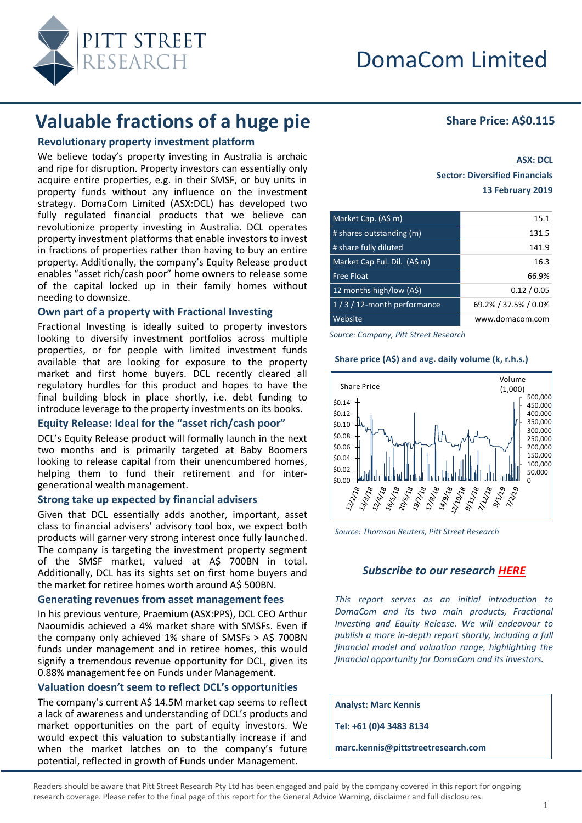

# **Valuable fractions of a huge pie** Share Price: A\$0.115

# **Revolutionary property investment platform**

We believe today's property investing in Australia is archaic and ripe for disruption. Property investors can essentially only acquire entire properties, e.g. in their SMSF, or buy units in property funds without any influence on the investment strategy. DomaCom Limited (ASX:DCL) has developed two fully regulated financial products that we believe can revolutionize property investing in Australia. DCL operates property investment platforms that enable investors to invest in fractions of properties rather than having to buy an entire property. Additionally, the company's Equity Release product enables "asset rich/cash poor" home owners to release some of the capital locked up in their family homes without needing to downsize.

## **Own part of a property with Fractional Investing**

Fractional Investing is ideally suited to property investors looking to diversify investment portfolios across multiple properties, or for people with limited investment funds available that are looking for exposure to the property market and first home buyers. DCL recently cleared all regulatory hurdles for this product and hopes to have the final building block in place shortly, i.e. debt funding to introduce leverage to the property investments on its books.

## **Equity Release: Ideal for the "asset rich/cash poor"**

DCL's Equity Release product will formally launch in the next two months and is primarily targeted at Baby Boomers looking to release capital from their unencumbered homes, helping them to fund their retirement and for intergenerational wealth management.

## **Strong take up expected by financial advisers**

Given that DCL essentially adds another, important, asset class to financial advisers' advisory tool box, we expect both products will garner very strong interest once fully launched. The company is targeting the investment property segment of the SMSF market, valued at A\$ 700BN in total. Additionally, DCL has its sights set on first home buyers and the market for retiree homes worth around A\$ 500BN.

## **Generating revenues from asset management fees**

In his previous venture, Praemium (ASX:PPS), DCL CEO Arthur Naoumidis achieved a 4% market share with SMSFs. Even if the company only achieved  $1\%$  share of SMSFs  $>$  A\$ 700BN funds under management and in retiree homes, this would signify a tremendous revenue opportunity for DCL, given its 0.88% management fee on Funds under Management.

## **Valuation doesn't seem to reflect DCL's opportunities**

The company's current A\$ 14.5M market cap seems to reflect a lack of awareness and understanding of DCL's products and market opportunities on the part of equity investors. We would expect this valuation to substantially increase if and when the market latches on to the company's future potential, reflected in growth of Funds under Management.

# **ASX: DCL Sector: Diversified Financials 13 February 2019**

| Market Cap. (A\$ m)          | 15.1                 |
|------------------------------|----------------------|
| # shares outstanding (m)     | 131.5                |
| # share fully diluted        | 141.9                |
| Market Cap Ful. Dil. (A\$ m) | 16.3                 |
| <b>Free Float</b>            | 66.9%                |
| 12 months high/low (A\$)     | 0.12 / 0.05          |
| 1/3/12-month performance     | 69.2% / 37.5% / 0.0% |
| Website                      | www.domacom.com      |

*Source: Company, Pitt Street Research*

## **Share price (A\$) and avg. daily volume (k, r.h.s.)**



*Source: Thomson Reuters, Pitt Street Research*

# *Subscribe to our research [HERE](https://www.pittstreetresearch.com/research/)*

*This report serves as an initial introduction to DomaCom and its two main products, Fractional Investing and Equity Release. We will endeavour to publish a more in-depth report shortly, including a full financial model and valuation range, highlighting the financial opportunity for DomaCom and its investors.*

**Analyst: Marc Kennis**

**Tel: +61 (0)4 3483 8134**

**marc.kennis@pittstreetresearch.com**

Readers should be aware that Pitt Street Research Pty Ltd has been engaged and paid by the company covered in this report for ongoing research coverage. Please refer to the final page of this report for the General Advice Warning, disclaimer and full disclosures.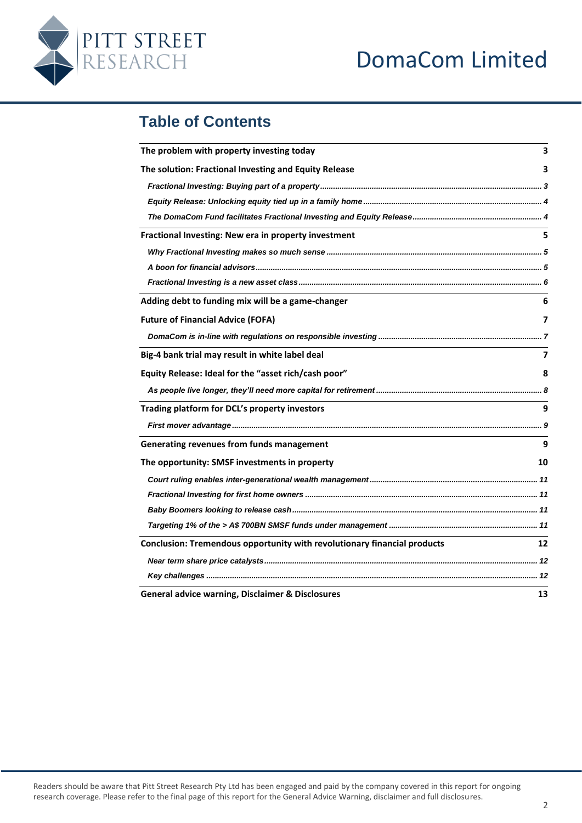# DomaCom Limited



# **Table of Contents**

| The problem with property investing today                                |    |                                                      |    |
|--------------------------------------------------------------------------|----|------------------------------------------------------|----|
| The solution: Fractional Investing and Equity Release                    |    |                                                      |    |
|                                                                          |    | Fractional Investing: New era in property investment | 5. |
|                                                                          |    |                                                      |    |
|                                                                          |    |                                                      |    |
|                                                                          |    |                                                      |    |
| Adding debt to funding mix will be a game-changer                        | 6  |                                                      |    |
| <b>Future of Financial Advice (FOFA)</b>                                 | 7  |                                                      |    |
|                                                                          |    |                                                      |    |
| Big-4 bank trial may result in white label deal                          | 7  |                                                      |    |
| Equity Release: Ideal for the "asset rich/cash poor"                     | 8  |                                                      |    |
|                                                                          |    |                                                      |    |
| Trading platform for DCL's property investors                            | 9  |                                                      |    |
|                                                                          |    |                                                      |    |
| Generating revenues from funds management                                | 9  |                                                      |    |
| The opportunity: SMSF investments in property                            |    |                                                      |    |
|                                                                          |    |                                                      |    |
|                                                                          |    |                                                      |    |
|                                                                          |    |                                                      |    |
|                                                                          |    |                                                      |    |
| Conclusion: Tremendous opportunity with revolutionary financial products | 12 |                                                      |    |
|                                                                          |    |                                                      |    |
|                                                                          |    |                                                      |    |
| <b>General advice warning, Disclaimer &amp; Disclosures</b>              | 13 |                                                      |    |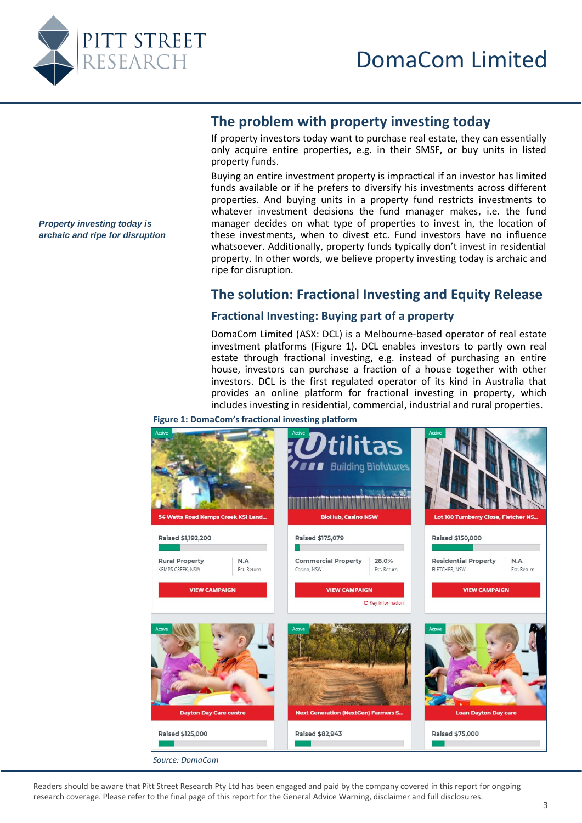<span id="page-2-0"></span>

# **The problem with property investing today**

If property investors today want to purchase real estate, they can essentially only acquire entire properties, e.g. in their SMSF, or buy units in listed property funds.

Buying an entire investment property is impractical if an investor has limited funds available or if he prefers to diversify his investments across different properties. And buying units in a property fund restricts investments to whatever investment decisions the fund manager makes, i.e. the fund manager decides on what type of properties to invest in, the location of these investments, when to divest etc. Fund investors have no influence whatsoever. Additionally, property funds typically don't invest in residential property. In other words, we believe property investing today is archaic and ripe for disruption.

# **The solution: Fractional Investing and Equity Release**

# <span id="page-2-2"></span>**Fractional Investing: Buying part of a property**

DomaCom Limited (ASX: DCL) is a Melbourne-based operator of real estate investment platforms (Figure 1). DCL enables investors to partly own real estate through fractional investing, e.g. instead of purchasing an entire house, investors can purchase a fraction of a house together with other investors. DCL is the first regulated operator of its kind in Australia that provides an online platform for fractional investing in property, which includes investing in residential, commercial, industrial and rural properties.

**Figure 1: DomaCom's fractional investing platform**



Readers should be aware that Pitt Street Research Pty Ltd has been engaged and paid by the company covered in this report for ongoing research coverage. Please refer to the final page of this report for the General Advice Warning, disclaimer and full disclosures.

<span id="page-2-1"></span>*Property investing today is archaic and ripe for disruption*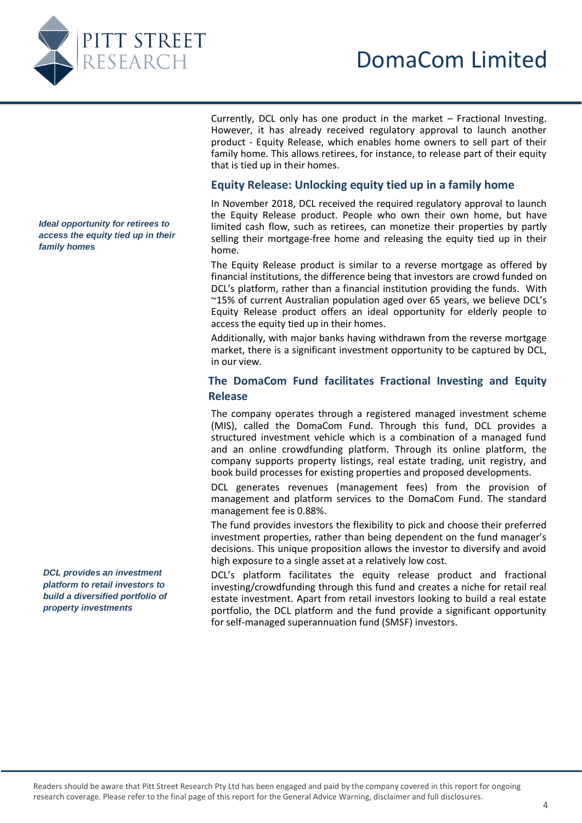

Currently, DCL only has one product in the market – Fractional Investing. However, it has already received regulatory approval to launch another product - Equity Release, which enables home owners to sell part of their family home. This allows retirees, for instance, to release part of their equity that is tied up in their homes.

# **Equity Release: Unlocking equity tied up in a family home**

In November 2018, DCL received the required regulatory approval to launch the Equity Release product. People who own their own home, but have limited cash flow, such as retirees, can monetize their properties by partly selling their mortgage-free home and releasing the equity tied up in their home.

The Equity Release product is similar to a reverse mortgage as offered by financial institutions, the difference being that investors are crowd funded on DCL's platform, rather than a financial institution providing the funds. With ~15% of current Australian population aged over 65 years, we believe DCL's Equity Release product offers an ideal opportunity for elderly people to access the equity tied up in their homes.

Additionally, with major banks having withdrawn from the reverse mortgage market, there is a significant investment opportunity to be captured by DCL, in our view.

# **The DomaCom Fund facilitates Fractional Investing and Equity Release**

The company operates through a registered managed investment scheme (MIS), called the DomaCom Fund. Through this fund, DCL provides a structured investment vehicle which is a combination of a managed fund and an online crowdfunding platform. Through its online platform, the company supports property listings, real estate trading, unit registry, and book build processes for existing properties and proposed developments.

DCL generates revenues (management fees) from the provision of management and platform services to the DomaCom Fund. The standard management fee is 0.88%.

The fund provides investors the flexibility to pick and choose their preferred investment properties, rather than being dependent on the fund manager's decisions. This unique proposition allows the investor to diversify and avoid high exposure to a single asset at a relatively low cost.

DCL's platform facilitates the equity release product and fractional investing/crowdfunding through this fund and creates a niche for retail real estate investment. Apart from retail investors looking to build a real estate portfolio, the DCL platform and the fund provide a significant opportunity for self-managed superannuation fund (SMSF) investors.

<span id="page-3-1"></span><span id="page-3-0"></span>*Ideal opportunity for retirees to access the equity tied up in their family homes*

*DCL provides an investment platform to retail investors to build a diversified portfolio of property investments*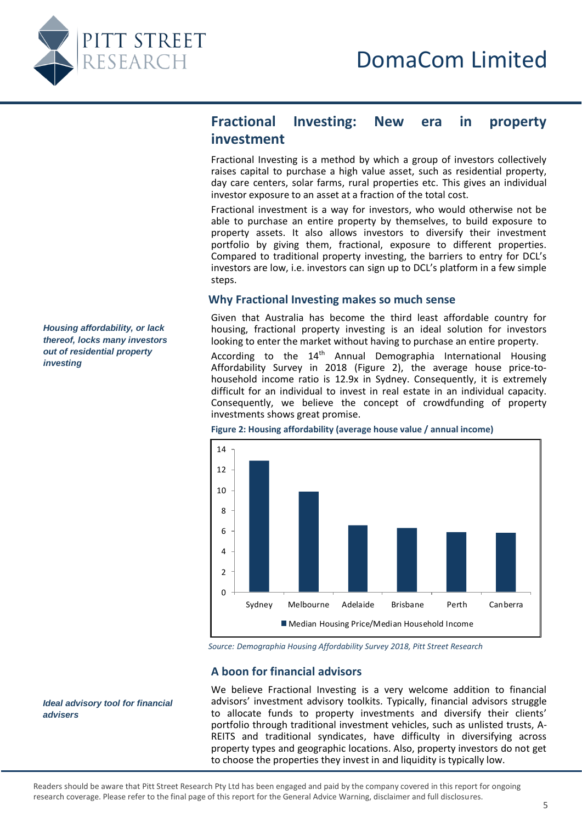<span id="page-4-0"></span>

<span id="page-4-1"></span>*Housing affordability, or lack thereof, locks many investors out of residential property* 

*investing*

# **Fractional Investing: New era in property investment**

Fractional Investing is a method by which a group of investors collectively raises capital to purchase a high value asset, such as residential property, day care centers, solar farms, rural properties etc. This gives an individual investor exposure to an asset at a fraction of the total cost.

Fractional investment is a way for investors, who would otherwise not be able to purchase an entire property by themselves, to build exposure to property assets. It also allows investors to diversify their investment portfolio by giving them, fractional, exposure to different properties. Compared to traditional property investing, the barriers to entry for DCL's investors are low, i.e. investors can sign up to DCL's platform in a few simple steps.

## **Why Fractional Investing makes so much sense**

Given that Australia has become the third least affordable country for housing, fractional property investing is an ideal solution for investors looking to enter the market without having to purchase an entire property.

According to the  $14<sup>th</sup>$  Annual Demographia International Housing Affordability Survey in 2018 (Figure 2), the average house price-tohousehold income ratio is 12.9x in Sydney. Consequently, it is extremely difficult for an individual to invest in real estate in an individual capacity. Consequently, we believe the concept of crowdfunding of property investments shows great promise.



*Source: Demographia Housing Affordability Survey 2018, Pitt Street Research*

## **A boon for financial advisors**

We believe Fractional Investing is a very welcome addition to financial advisors' investment advisory toolkits. Typically, financial advisors struggle to allocate funds to property investments and diversify their clients' portfolio through traditional investment vehicles, such as unlisted trusts, A-REITS and traditional syndicates, have difficulty in diversifying across property types and geographic locations. Also, property investors do not get to choose the properties they invest in and liquidity is typically low.

<span id="page-4-2"></span>*Ideal advisory tool for financial advisers* 

Readers should be aware that Pitt Street Research Pty Ltd has been engaged and paid by the company covered in this report for ongoing research coverage. Please refer to the final page of this report for the General Advice Warning, disclaimer and full disclosures.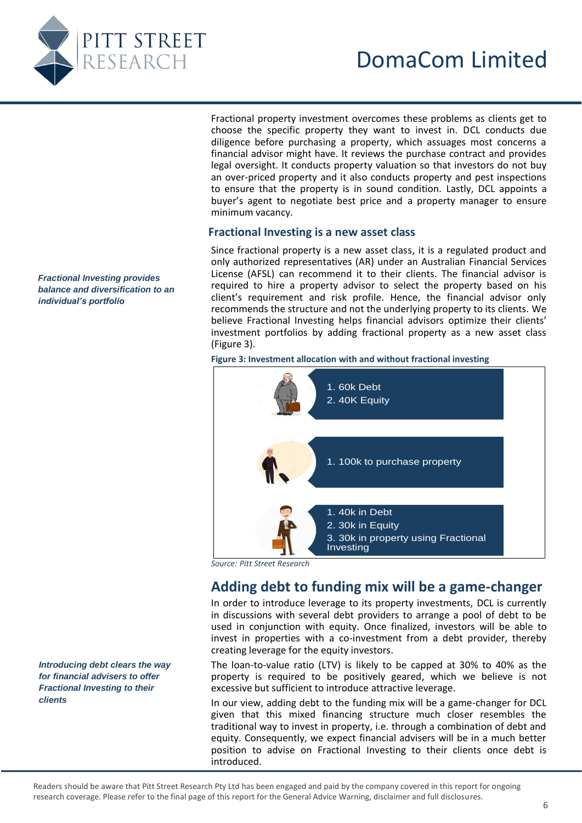

Fractional property investment overcomes these problems as clients get to choose the specific property they want to invest in. DCL conducts due diligence before purchasing a property, which assuages most concerns a financial advisor might have. It reviews the purchase contract and provides legal oversight. It conducts property valuation so that investors do not buy an over-priced property and it also conducts property and pest inspections to ensure that the property is in sound condition. Lastly, DCL appoints a buyer's agent to negotiate best price and a property manager to ensure minimum vacancy.

# **Fractional Investing is a new asset class**

Since fractional property is a new asset class, it is a regulated product and only authorized representatives (AR) under an Australian Financial Services License (AFSL) can recommend it to their clients. The financial advisor is required to hire a property advisor to select the property based on his client's requirement and risk profile. Hence, the financial advisor only recommends the structure and not the underlying property to its clients. We believe Fractional Investing helps financial advisors optimize their clients' investment portfolios by adding fractional property as a new asset class (Figure 3).

**Figure 3: Investment allocation with and without fractional investing**



# **Adding debt to funding mix will be a game-changer**

In order to introduce leverage to its property investments, DCL is currently in discussions with several debt providers to arrange a pool of debt to be used in conjunction with equity. Once finalized, investors will be able to invest in properties with a co-investment from a debt provider, thereby creating leverage for the equity investors.

The loan-to-value ratio (LTV) is likely to be capped at 30% to 40% as the property is required to be positively geared, which we believe is not excessive but sufficient to introduce attractive leverage.

In our view, adding debt to the funding mix will be a game-changer for DCL given that this mixed financing structure much closer resembles the traditional way to invest in property, i.e. through a combination of debt and equity. Consequently, we expect financial advisers will be in a much better position to advise on Fractional Investing to their clients once debt is

<span id="page-5-0"></span>*Fractional Investing provides balance and diversification to an individual's portfolio* 

<span id="page-5-1"></span>*Introducing debt clears the way for financial advisers to offer Fractional Investing to their clients*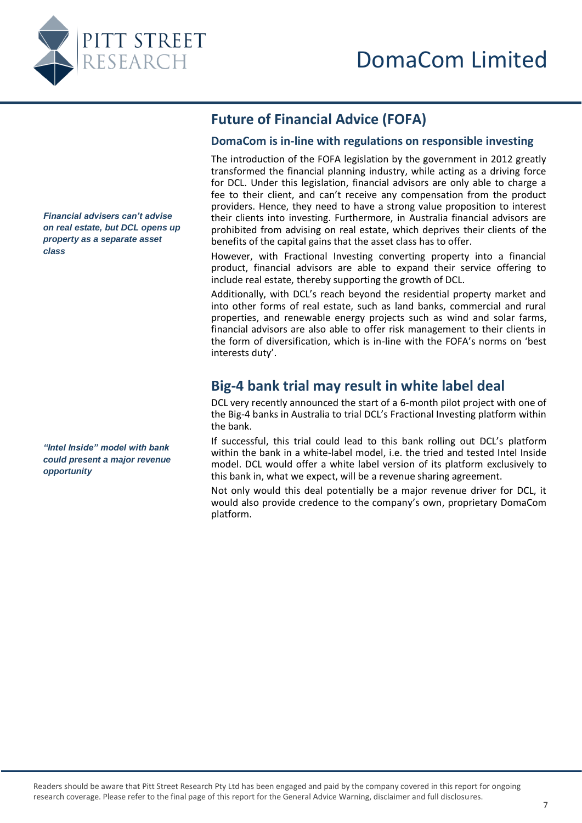

# **DomaCom is in-line with regulations on responsible investing**

**Future of Financial Advice (FOFA)**

The introduction of the FOFA legislation by the government in 2012 greatly transformed the financial planning industry, while acting as a driving force for DCL. Under this legislation, financial advisors are only able to charge a fee to their client, and can't receive any compensation from the product providers. Hence, they need to have a strong value proposition to interest their clients into investing. Furthermore, in Australia financial advisors are prohibited from advising on real estate, which deprives their clients of the benefits of the capital gains that the asset class has to offer.

However, with Fractional Investing converting property into a financial product, financial advisors are able to expand their service offering to include real estate, thereby supporting the growth of DCL.

Additionally, with DCL's reach beyond the residential property market and into other forms of real estate, such as land banks, commercial and rural properties, and renewable energy projects such as wind and solar farms, financial advisors are also able to offer risk management to their clients in the form of diversification, which is in-line with the FOFA's norms on 'best interests duty'.

# **Big-4 bank trial may result in white label deal**

DCL very recently announced the start of a 6-month pilot project with one of the Big-4 banks in Australia to trial DCL's Fractional Investing platform within the bank.

If successful, this trial could lead to this bank rolling out DCL's platform within the bank in a white-label model, i.e. the tried and tested Intel Inside model. DCL would offer a white label version of its platform exclusively to this bank in, what we expect, will be a revenue sharing agreement.

Not only would this deal potentially be a major revenue driver for DCL, it would also provide credence to the company's own, proprietary DomaCom platform.

<span id="page-6-1"></span><span id="page-6-0"></span>*Financial advisers can't advise on real estate, but DCL opens up property as a separate asset class*

<span id="page-6-2"></span>*"Intel Inside" model with bank could present a major revenue opportunity*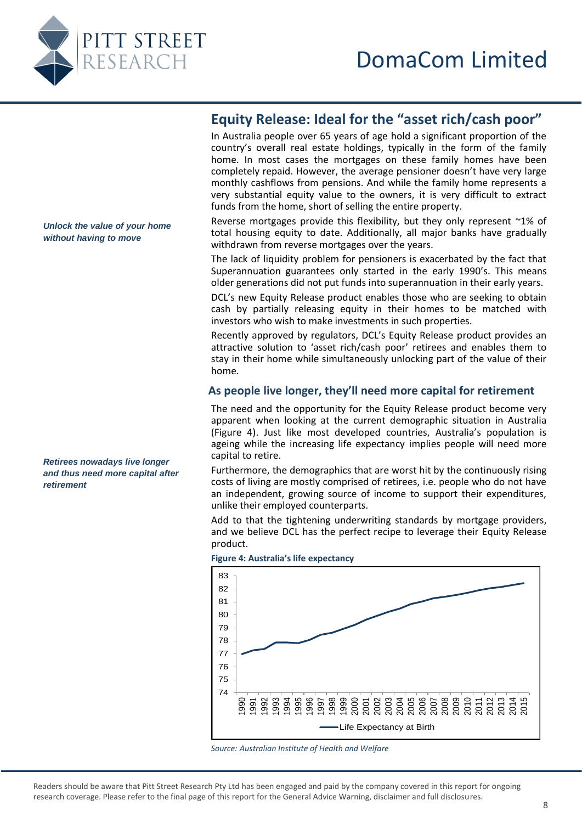<span id="page-7-0"></span>

# **Equity Release: Ideal for the "asset rich/cash poor"**

In Australia people over 65 years of age hold a significant proportion of the country's overall real estate holdings, typically in the form of the family home. In most cases the mortgages on these family homes have been completely repaid. However, the average pensioner doesn't have very large monthly cashflows from pensions. And while the family home represents a very substantial equity value to the owners, it is very difficult to extract funds from the home, short of selling the entire property.

Reverse mortgages provide this flexibility, but they only represent ~1% of total housing equity to date. Additionally, all major banks have gradually withdrawn from reverse mortgages over the years.

The lack of liquidity problem for pensioners is exacerbated by the fact that Superannuation guarantees only started in the early 1990's. This means older generations did not put funds into superannuation in their early years.

DCL's new Equity Release product enables those who are seeking to obtain cash by partially releasing equity in their homes to be matched with investors who wish to make investments in such properties.

Recently approved by regulators, DCL's Equity Release product provides an attractive solution to 'asset rich/cash poor' retirees and enables them to stay in their home while simultaneously unlocking part of the value of their home.

# **As people live longer, they'll need more capital for retirement**

The need and the opportunity for the Equity Release product become very apparent when looking at the current demographic situation in Australia (Figure 4). Just like most developed countries, Australia's population is ageing while the increasing life expectancy implies people will need more capital to retire.

Furthermore, the demographics that are worst hit by the continuously rising costs of living are mostly comprised of retirees, i.e. people who do not have an independent, growing source of income to support their expenditures, unlike their employed counterparts.

Add to that the tightening underwriting standards by mortgage providers, and we believe DCL has the perfect recipe to leverage their Equity Release product.



**Figure 4: Australia's life expectancy** 

*Unlock the value of your home without having to move*

<span id="page-7-1"></span>*Retirees nowadays live longer and thus need more capital after retirement* 

*Source: Australian Institute of Health and Welfare*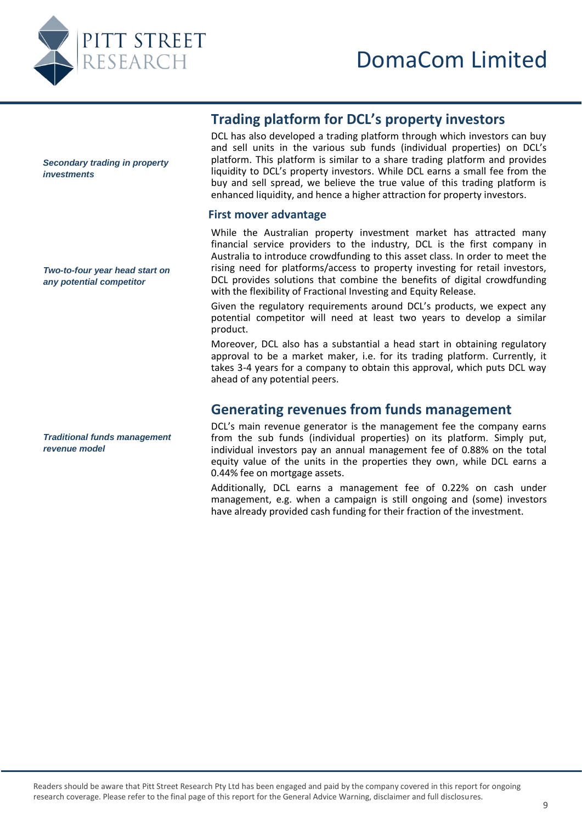

<span id="page-8-1"></span><span id="page-8-0"></span>*Secondary trading in property investments* 

*Two-to-four year head start on any potential competitor* 

<span id="page-8-2"></span>*Traditional funds management revenue model* 

# **Trading platform for DCL's property investors**

DCL has also developed a trading platform through which investors can buy and sell units in the various sub funds (individual properties) on DCL's platform. This platform is similar to a share trading platform and provides liquidity to DCL's property investors. While DCL earns a small fee from the buy and sell spread, we believe the true value of this trading platform is enhanced liquidity, and hence a higher attraction for property investors.

## **First mover advantage**

While the Australian property investment market has attracted many financial service providers to the industry, DCL is the first company in Australia to introduce crowdfunding to this asset class. In order to meet the rising need for platforms/access to property investing for retail investors, DCL provides solutions that combine the benefits of digital crowdfunding with the flexibility of Fractional Investing and Equity Release.

Given the regulatory requirements around DCL's products, we expect any potential competitor will need at least two years to develop a similar product.

Moreover, DCL also has a substantial a head start in obtaining regulatory approval to be a market maker, i.e. for its trading platform. Currently, it takes 3-4 years for a company to obtain this approval, which puts DCL way ahead of any potential peers.

# **Generating revenues from funds management**

DCL's main revenue generator is the management fee the company earns from the sub funds (individual properties) on its platform. Simply put, individual investors pay an annual management fee of 0.88% on the total equity value of the units in the properties they own, while DCL earns a 0.44% fee on mortgage assets.

Additionally, DCL earns a management fee of 0.22% on cash under management, e.g. when a campaign is still ongoing and (some) investors have already provided cash funding for their fraction of the investment.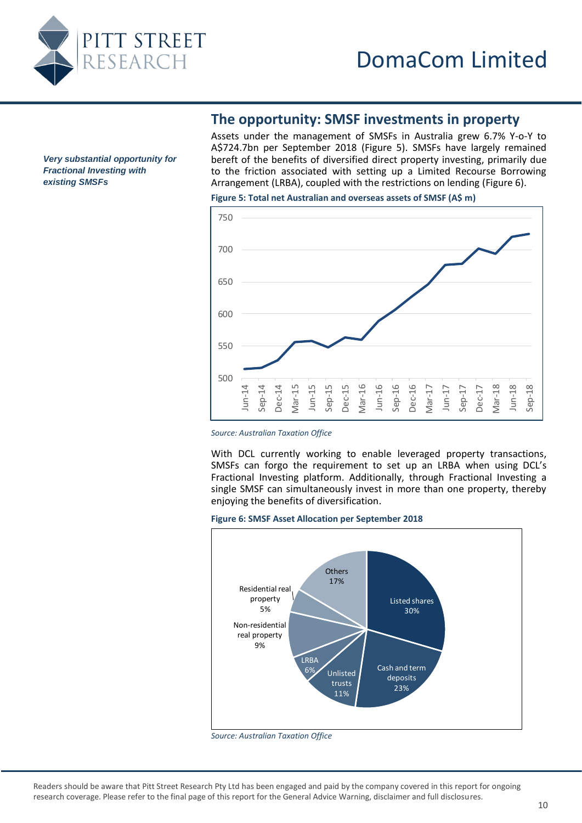

**The opportunity: SMSF investments in property**

Assets under the management of SMSFs in Australia grew 6.7% Y-o-Y to A\$724.7bn per September 2018 (Figure 5). SMSFs have largely remained bereft of the benefits of diversified direct property investing, primarily due to the friction associated with setting up a Limited Recourse Borrowing Arrangement (LRBA), coupled with the restrictions on lending (Figure 6).

**Figure 5: Total net Australian and overseas assets of SMSF (A\$ m)**



*Source: Australian Taxation Office*

With DCL currently working to enable leveraged property transactions, SMSFs can forgo the requirement to set up an LRBA when using DCL's Fractional Investing platform. Additionally, through Fractional Investing a single SMSF can simultaneously invest in more than one property, thereby enjoying the benefits of diversification.

#### **Figure 6: SMSF Asset Allocation per September 2018**



*Source: Australian Taxation Office*

<span id="page-9-0"></span>*Very substantial opportunity for Fractional Investing with existing SMSFs*

Readers should be aware that Pitt Street Research Pty Ltd has been engaged and paid by the company covered in this report for ongoing research coverage. Please refer to the final page of this report for the General Advice Warning, disclaimer and full disclosures.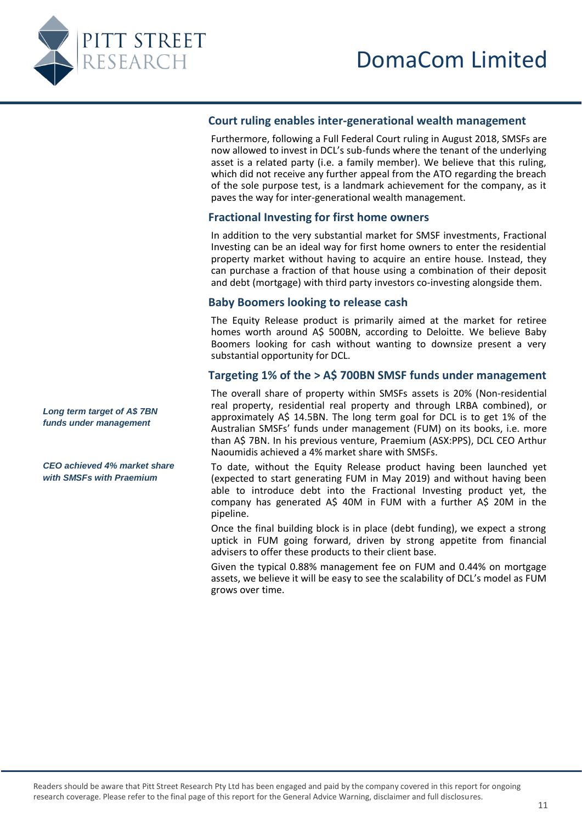<span id="page-10-0"></span>

# **Court ruling enables inter-generational wealth management**

Furthermore, following a Full Federal Court ruling in August 2018, SMSFs are now allowed to invest in DCL's sub-funds where the tenant of the underlying asset is a related party (i.e. a family member). We believe that this ruling, which did not receive any further appeal from the ATO regarding the breach of the sole purpose test, is a landmark achievement for the company, as it paves the way for inter-generational wealth management.

# <span id="page-10-1"></span>**Fractional Investing for first home owners**

In addition to the very substantial market for SMSF investments, Fractional Investing can be an ideal way for first home owners to enter the residential property market without having to acquire an entire house. Instead, they can purchase a fraction of that house using a combination of their deposit and debt (mortgage) with third party investors co-investing alongside them.

# **Baby Boomers looking to release cash**

The Equity Release product is primarily aimed at the market for retiree homes worth around A\$ 500BN, according to Deloitte. We believe Baby Boomers looking for cash without wanting to downsize present a very substantial opportunity for DCL.

# **Targeting 1% of the > A\$ 700BN SMSF funds under management**

The overall share of property within SMSFs assets is 20% (Non-residential real property, residential real property and through LRBA combined), or approximately A\$ 14.5BN. The long term goal for DCL is to get 1% of the Australian SMSFs' funds under management (FUM) on its books, i.e. more than A\$ 7BN. In his previous venture, Praemium (ASX:PPS), DCL CEO Arthur Naoumidis achieved a 4% market share with SMSFs.

To date, without the Equity Release product having been launched yet (expected to start generating FUM in May 2019) and without having been able to introduce debt into the Fractional Investing product yet, the company has generated A\$ 40M in FUM with a further A\$ 20M in the pipeline.

Once the final building block is in place (debt funding), we expect a strong uptick in FUM going forward, driven by strong appetite from financial advisers to offer these products to their client base.

Given the typical 0.88% management fee on FUM and 0.44% on mortgage assets, we believe it will be easy to see the scalability of DCL's model as FUM grows over time.

<span id="page-10-3"></span><span id="page-10-2"></span>*Long term target of A\$ 7BN funds under management*

*CEO achieved 4% market share with SMSFs with Praemium*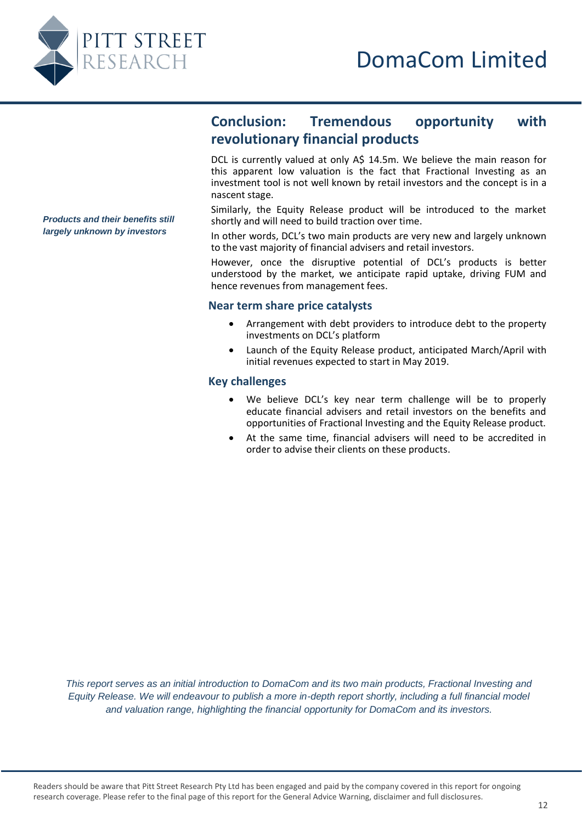

# **Conclusion: Tremendous opportunity with revolutionary financial products**

DCL is currently valued at only A\$ 14.5m. We believe the main reason for this apparent low valuation is the fact that Fractional Investing as an investment tool is not well known by retail investors and the concept is in a nascent stage.

Similarly, the Equity Release product will be introduced to the market shortly and will need to build traction over time.

In other words, DCL's two main products are very new and largely unknown to the vast majority of financial advisers and retail investors.

However, once the disruptive potential of DCL's products is better understood by the market, we anticipate rapid uptake, driving FUM and hence revenues from management fees.

#### **Near term share price catalysts**

- Arrangement with debt providers to introduce debt to the property investments on DCL's platform
- Launch of the Equity Release product, anticipated March/April with initial revenues expected to start in May 2019.

# **Key challenges**

- We believe DCL's key near term challenge will be to properly educate financial advisers and retail investors on the benefits and opportunities of Fractional Investing and the Equity Release product.
- At the same time, financial advisers will need to be accredited in order to advise their clients on these products.

*This report serves as an initial introduction to DomaCom and its two main products, Fractional Investing and Equity Release. We will endeavour to publish a more in-depth report shortly, including a full financial model and valuation range, highlighting the financial opportunity for DomaCom and its investors.*

<span id="page-11-2"></span><span id="page-11-1"></span><span id="page-11-0"></span>*Products and their benefits still largely unknown by investors*